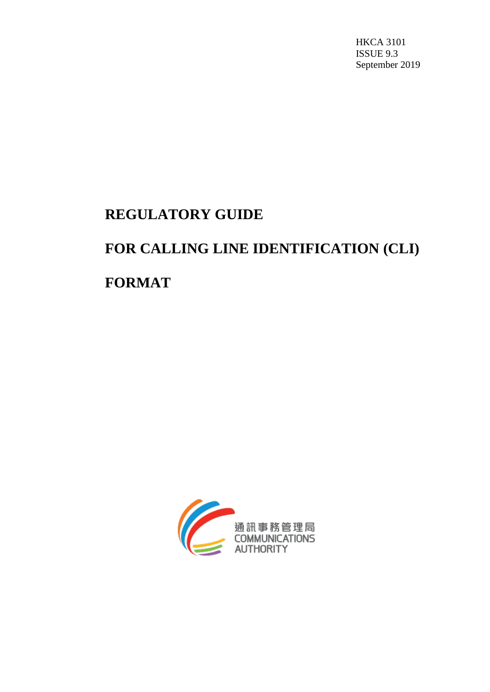HKCA 3101 ISSUE 9.3 September 2019

# **REGULATORY GUIDE**

# **FOR CALLING LINE IDENTIFICATION (CLI)**

**FORMAT**

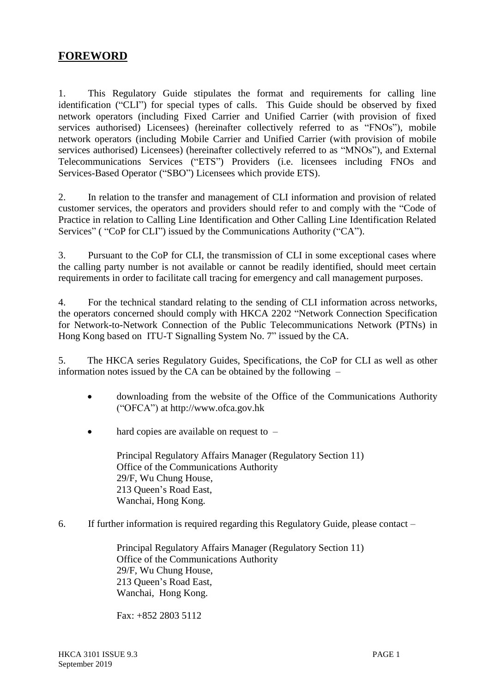# **FOREWORD**

1. This Regulatory Guide stipulates the format and requirements for calling line identification ("CLI") for special types of calls. This Guide should be observed by fixed network operators (including Fixed Carrier and Unified Carrier (with provision of fixed services authorised) Licensees) (hereinafter collectively referred to as "FNOs"), mobile network operators (including Mobile Carrier and Unified Carrier (with provision of mobile services authorised) Licensees) (hereinafter collectively referred to as "MNOs"), and External Telecommunications Services ("ETS") Providers (i.e. licensees including FNOs and Services-Based Operator ("SBO") Licensees which provide ETS).

2. In relation to the transfer and management of CLI information and provision of related customer services, the operators and providers should refer to and comply with the "Code of Practice in relation to Calling Line Identification and Other Calling Line Identification Related Services" ( "CoP for CLI") issued by the Communications Authority ("CA").

3. Pursuant to the CoP for CLI, the transmission of CLI in some exceptional cases where the calling party number is not available or cannot be readily identified, should meet certain requirements in order to facilitate call tracing for emergency and call management purposes.

4. For the technical standard relating to the sending of CLI information across networks, the operators concerned should comply with HKCA 2202 "Network Connection Specification for Network-to-Network Connection of the Public Telecommunications Network (PTNs) in Hong Kong based on ITU-T Signalling System No. 7" issued by the CA.

5. The HKCA series Regulatory Guides, Specifications, the CoP for CLI as well as other information notes issued by the CA can be obtained by the following –

- downloading from the website of the Office of the Communications Authority ("OFCA") at http://www.ofca.gov.hk
- hard copies are available on request to –

Principal Regulatory Affairs Manager (Regulatory Section 11) Office of the Communications Authority 29/F, Wu Chung House, 213 Queen's Road East, Wanchai, Hong Kong.

6. If further information is required regarding this Regulatory Guide, please contact –

Principal Regulatory Affairs Manager (Regulatory Section 11) Office of the Communications Authority 29/F, Wu Chung House, 213 Queen's Road East, Wanchai, Hong Kong.

Fax: +852 2803 5112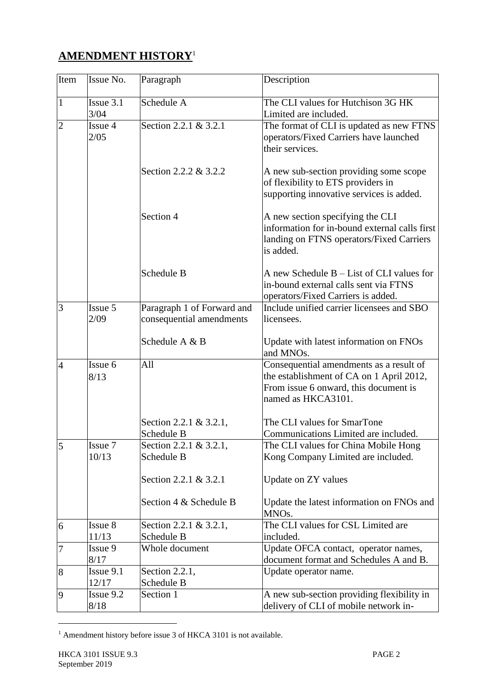# **AMENDMENT HISTORY**<sup>1</sup>

| Item           | Issue No. | Paragraph                  | Description                                   |
|----------------|-----------|----------------------------|-----------------------------------------------|
| $\mathbf{1}$   | Issue 3.1 | Schedule A                 | The CLI values for Hutchison 3G HK            |
|                | 3/04      |                            | Limited are included.                         |
| $\overline{c}$ | Issue 4   | Section 2.2.1 & 3.2.1      | The format of CLI is updated as new FTNS      |
|                | 2/05      |                            | operators/Fixed Carriers have launched        |
|                |           |                            | their services.                               |
|                |           |                            |                                               |
|                |           | Section 2.2.2 & 3.2.2      | A new sub-section providing some scope        |
|                |           |                            | of flexibility to ETS providers in            |
|                |           |                            | supporting innovative services is added.      |
|                |           |                            |                                               |
|                |           | Section 4                  | A new section specifying the CLI              |
|                |           |                            | information for in-bound external calls first |
|                |           |                            | landing on FTNS operators/Fixed Carriers      |
|                |           |                            | is added.                                     |
|                |           |                            |                                               |
|                |           | Schedule B                 | A new Schedule B – List of CLI values for     |
|                |           |                            | in-bound external calls sent via FTNS         |
|                |           |                            | operators/Fixed Carriers is added.            |
| 3              | Issue 5   | Paragraph 1 of Forward and | Include unified carrier licensees and SBO     |
|                | 2/09      | consequential amendments   | licensees.                                    |
|                |           |                            |                                               |
|                |           | Schedule A & B             | Update with latest information on FNOs        |
|                |           |                            | and MNO <sub>s</sub> .                        |
| $\overline{4}$ | Issue 6   | All                        | Consequential amendments as a result of       |
|                | 8/13      |                            | the establishment of CA on 1 April 2012,      |
|                |           |                            | From issue 6 onward, this document is         |
|                |           |                            | named as HKCA3101.                            |
|                |           | Section 2.2.1 & 3.2.1,     | The CLI values for SmarTone                   |
|                |           | Schedule B                 | Communications Limited are included.          |
| 5              | Issue 7   | Section 2.2.1 & 3.2.1,     | The CLI values for China Mobile Hong          |
|                | 10/13     | Schedule B                 | Kong Company Limited are included.            |
|                |           |                            |                                               |
|                |           | Section 2.2.1 & 3.2.1      | Update on ZY values                           |
|                |           |                            |                                               |
|                |           | Section 4 & Schedule B     | Update the latest information on FNOs and     |
|                |           |                            | MNO <sub>s</sub> .                            |
| 6              | Issue 8   | Section 2.2.1 & 3.2.1,     | The CLI values for CSL Limited are            |
|                | 11/13     | Schedule B                 | included.                                     |
| $\overline{7}$ | Issue 9   | Whole document             | Update OFCA contact, operator names,          |
|                | 8/17      |                            | document format and Schedules A and B.        |
| 8              | Issue 9.1 | Section 2.2.1,             | Update operator name.                         |
|                | 12/17     | Schedule B                 |                                               |
| 9              | Issue 9.2 | Section 1                  | A new sub-section providing flexibility in    |
|                | 8/18      |                            | delivery of CLI of mobile network in-         |

<sup>&</sup>lt;sup>1</sup> Amendment history before issue 3 of HKCA 3101 is not available.

l,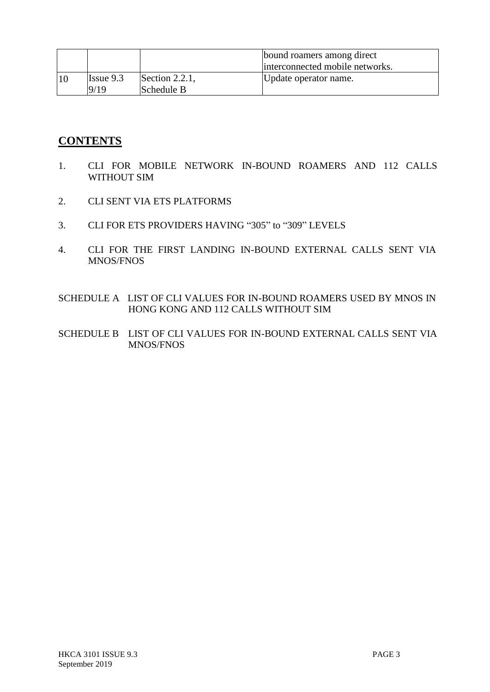|    |                             |                                 | bound roamers among direct<br>interconnected mobile networks. |
|----|-----------------------------|---------------------------------|---------------------------------------------------------------|
| 10 | $\text{Issue } 9.3$<br>9/19 | Section $2.2.1$ ,<br>Schedule B | Update operator name.                                         |

# **CONTENTS**

- 1. CLI FOR MOBILE NETWORK IN-BOUND ROAMERS AND 112 CALLS WITHOUT SIM
- 2. CLI SENT VIA ETS PLATFORMS
- 3. CLI FOR ETS PROVIDERS HAVING "305" to "309" LEVELS
- 4. CLI FOR THE FIRST LANDING IN-BOUND EXTERNAL CALLS SENT VIA MNOS/FNOS
- SCHEDULE A LIST OF CLI VALUES FOR IN-BOUND ROAMERS USED BY MNOS IN HONG KONG AND 112 CALLS WITHOUT SIM
- SCHEDULE B LIST OF CLI VALUES FOR IN-BOUND EXTERNAL CALLS SENT VIA MNOS/FNOS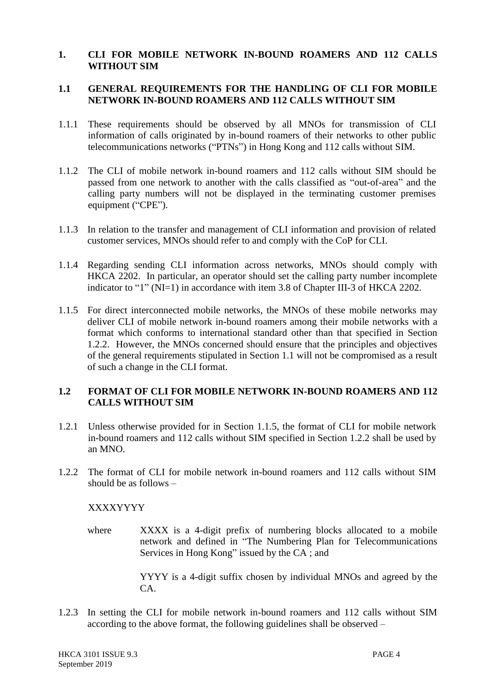#### **1. CLI FOR MOBILE NETWORK IN-BOUND ROAMERS AND 112 CALLS WITHOUT SIM**

## **1.1 GENERAL REQUIREMENTS FOR THE HANDLING OF CLI FOR MOBILE NETWORK IN-BOUND ROAMERS AND 112 CALLS WITHOUT SIM**

- 1.1.1 These requirements should be observed by all MNOs for transmission of CLI information of calls originated by in-bound roamers of their networks to other public telecommunications networks ("PTNs") in Hong Kong and 112 calls without SIM.
- 1.1.2 The CLI of mobile network in-bound roamers and 112 calls without SIM should be passed from one network to another with the calls classified as "out-of-area" and the calling party numbers will not be displayed in the terminating customer premises equipment ("CPE").
- 1.1.3 In relation to the transfer and management of CLI information and provision of related customer services, MNOs should refer to and comply with the CoP for CLI.
- 1.1.4 Regarding sending CLI information across networks, MNOs should comply with HKCA 2202. In particular, an operator should set the calling party number incomplete indicator to "1" (NI=1) in accordance with item 3.8 of Chapter III-3 of HKCA 2202.
- 1.1.5 For direct interconnected mobile networks, the MNOs of these mobile networks may deliver CLI of mobile network in-bound roamers among their mobile networks with a format which conforms to international standard other than that specified in Section 1.2.2. However, the MNOs concerned should ensure that the principles and objectives of the general requirements stipulated in Section 1.1 will not be compromised as a result of such a change in the CLI format.

# **1.2 FORMAT OF CLI FOR MOBILE NETWORK IN-BOUND ROAMERS AND 112 CALLS WITHOUT SIM**

- 1.2.1 Unless otherwise provided for in Section 1.1.5, the format of CLI for mobile network in-bound roamers and 112 calls without SIM specified in Section 1.2.2 shall be used by an MNO.
- 1.2.2 The format of CLI for mobile network in-bound roamers and 112 calls without SIM should be as follows –

# XXXXYYYY

where XXXX is a 4-digit prefix of numbering blocks allocated to a mobile network and defined in "The Numbering Plan for Telecommunications Services in Hong Kong" issued by the CA ; and

> YYYY is a 4-digit suffix chosen by individual MNOs and agreed by the CA.

1.2.3 In setting the CLI for mobile network in-bound roamers and 112 calls without SIM according to the above format, the following guidelines shall be observed –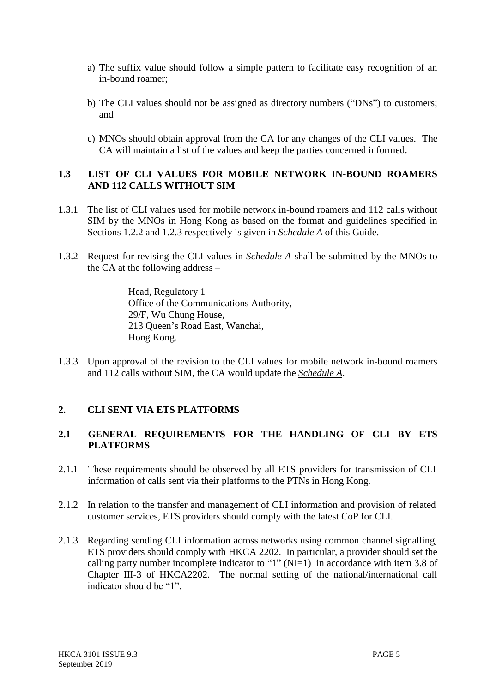- a) The suffix value should follow a simple pattern to facilitate easy recognition of an in-bound roamer;
- b) The CLI values should not be assigned as directory numbers ("DNs") to customers; and
- c) MNOs should obtain approval from the CA for any changes of the CLI values. The CA will maintain a list of the values and keep the parties concerned informed.

# **1.3 LIST OF CLI VALUES FOR MOBILE NETWORK IN-BOUND ROAMERS AND 112 CALLS WITHOUT SIM**

- 1.3.1 The list of CLI values used for mobile network in-bound roamers and 112 calls without SIM by the MNOs in Hong Kong as based on the format and guidelines specified in Sections 1.2.2 and 1.2.3 respectively is given in *Schedule A* of this Guide.
- 1.3.2 Request for revising the CLI values in *Schedule A* shall be submitted by the MNOs to the CA at the following address –

Head, Regulatory 1 Office of the Communications Authority, 29/F, Wu Chung House, 213 Queen's Road East, Wanchai, Hong Kong.

1.3.3 Upon approval of the revision to the CLI values for mobile network in-bound roamers and 112 calls without SIM, the CA would update the *Schedule A*.

# **2. CLI SENT VIA ETS PLATFORMS**

# **2.1 GENERAL REQUIREMENTS FOR THE HANDLING OF CLI BY ETS PLATFORMS**

- 2.1.1 These requirements should be observed by all ETS providers for transmission of CLI information of calls sent via their platforms to the PTNs in Hong Kong.
- 2.1.2 In relation to the transfer and management of CLI information and provision of related customer services, ETS providers should comply with the latest CoP for CLI.
- 2.1.3 Regarding sending CLI information across networks using common channel signalling, ETS providers should comply with HKCA 2202. In particular, a provider should set the calling party number incomplete indicator to "1" ( $NI=1$ ) in accordance with item 3.8 of Chapter III-3 of HKCA2202. The normal setting of the national/international call indicator should be "1".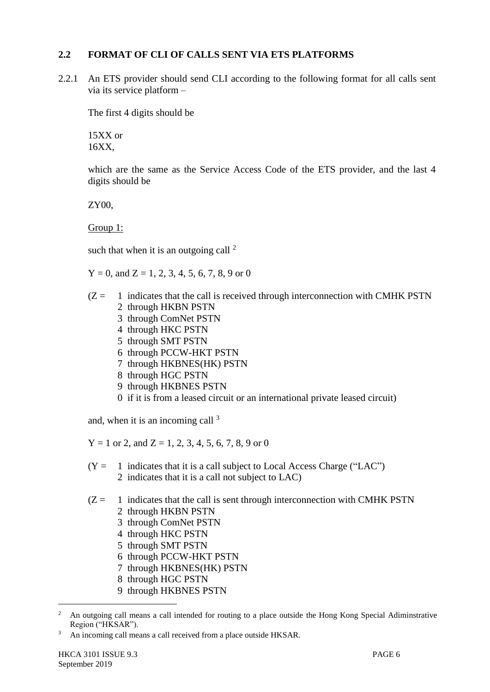# **2.2 FORMAT OF CLI OF CALLS SENT VIA ETS PLATFORMS**

2.2.1 An ETS provider should send CLI according to the following format for all calls sent via its service platform –

The first 4 digits should be

15XX or 16XX,

which are the same as the Service Access Code of the ETS provider, and the last 4 digits should be

ZY00,

Group 1:

such that when it is an outgoing call  $2^2$ 

 $Y = 0$ , and  $Z = 1, 2, 3, 4, 5, 6, 7, 8, 9$  or 0

- $(Z = 1)$  indicates that the call is received through interconnection with CMHK PSTN 2 through HKBN PSTN
	- 3 through ComNet PSTN
	- 4 through HKC PSTN
	- 5 through SMT PSTN
	- 6 through PCCW-HKT PSTN
	- 7 through HKBNES(HK) PSTN
	- 8 through HGC PSTN
	- 9 through HKBNES PSTN
	- 0 if it is from a leased circuit or an international private leased circuit)

and, when it is an incoming call  $3$ 

 $Y = 1$  or 2, and  $Z = 1, 2, 3, 4, 5, 6, 7, 8, 9$  or 0

 $(Y = 1$  indicates that it is a call subject to Local Access Charge ("LAC") 2 indicates that it is a call not subject to LAC)

 $(Z = 1)$  indicates that the call is sent through interconnection with CMHK PSTN 2 through HKBN PSTN

- 3 through ComNet PSTN
- 4 through HKC PSTN
- 5 through SMT PSTN
- 6 through PCCW-HKT PSTN
- 7 through HKBNES(HK) PSTN
- 8 through HGC PSTN
- 9 through HKBNES PSTN

l,

<sup>&</sup>lt;sup>2</sup> An outgoing call means a call intended for routing to a place outside the Hong Kong Special Adiminstrative Region ("HKSAR").

<sup>3</sup> An incoming call means a call received from a place outside HKSAR.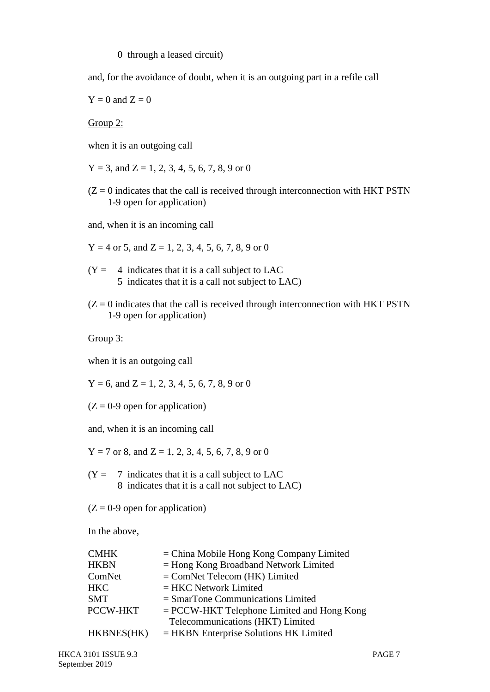#### 0 through a leased circuit)

and, for the avoidance of doubt, when it is an outgoing part in a refile call

 $Y = 0$  and  $Z = 0$ 

Group 2:

when it is an outgoing call

 $Y = 3$ , and  $Z = 1, 2, 3, 4, 5, 6, 7, 8, 9$  or 0

 $(Z = 0$  indicates that the call is received through interconnection with HKT PSTN 1-9 open for application)

and, when it is an incoming call

 $Y = 4$  or 5, and  $Z = 1, 2, 3, 4, 5, 6, 7, 8, 9$  or 0

 $(Y = 4$  indicates that it is a call subject to LAC 5 indicates that it is a call not subject to LAC)

 $(Z = 0$  indicates that the call is received through interconnection with HKT PSTN 1-9 open for application)

Group 3:

when it is an outgoing call

 $Y = 6$ , and  $Z = 1, 2, 3, 4, 5, 6, 7, 8, 9$  or 0

 $(Z = 0.9$  open for application)

and, when it is an incoming call

 $Y = 7$  or 8, and  $Z = 1, 2, 3, 4, 5, 6, 7, 8, 9$  or 0

- $(Y = 7$  indicates that it is a call subject to LAC 8 indicates that it is a call not subject to LAC)
- $(Z = 0.9$  open for application)

In the above,

| <b>CMHK</b> | $=$ China Mobile Hong Kong Company Limited   |
|-------------|----------------------------------------------|
| <b>HKBN</b> | $=$ Hong Kong Broadband Network Limited      |
| ComNet      | $=$ ComNet Telecom (HK) Limited              |
| <b>HKC</b>  | $=$ HKC Network Limited                      |
| <b>SMT</b>  | $=$ SmarTone Communications Limited          |
| PCCW-HKT    | $=$ PCCW-HKT Telephone Limited and Hong Kong |
|             | Telecommunications (HKT) Limited             |
| HKBNES(HK)  | $=$ HKBN Enterprise Solutions HK Limited     |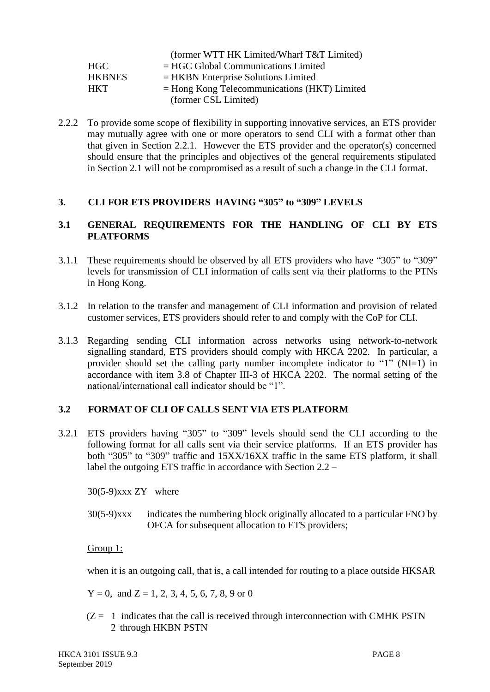|               | (former WTT HK Limited/Wharf T&T Limited)      |
|---------------|------------------------------------------------|
| HGC           | $=$ HGC Global Communications Limited          |
| <b>HKBNES</b> | $=$ HKBN Enterprise Solutions Limited          |
| <b>HKT</b>    | $=$ Hong Kong Telecommunications (HKT) Limited |
|               | (former CSL Limited)                           |

2.2.2 To provide some scope of flexibility in supporting innovative services, an ETS provider may mutually agree with one or more operators to send CLI with a format other than that given in Section 2.2.1. However the ETS provider and the operator(s) concerned should ensure that the principles and objectives of the general requirements stipulated in Section 2.1 will not be compromised as a result of such a change in the CLI format.

## **3. CLI FOR ETS PROVIDERS HAVING "305" to "309" LEVELS**

# **3.1 GENERAL REQUIREMENTS FOR THE HANDLING OF CLI BY ETS PLATFORMS**

- 3.1.1 These requirements should be observed by all ETS providers who have "305" to "309" levels for transmission of CLI information of calls sent via their platforms to the PTNs in Hong Kong.
- 3.1.2 In relation to the transfer and management of CLI information and provision of related customer services, ETS providers should refer to and comply with the CoP for CLI.
- 3.1.3 Regarding sending CLI information across networks using network-to-network signalling standard, ETS providers should comply with HKCA 2202. In particular, a provider should set the calling party number incomplete indicator to "1" (NI=1) in accordance with item 3.8 of Chapter III-3 of HKCA 2202. The normal setting of the national/international call indicator should be "1".

# **3.2 FORMAT OF CLI OF CALLS SENT VIA ETS PLATFORM**

3.2.1 ETS providers having "305" to "309" levels should send the CLI according to the following format for all calls sent via their service platforms. If an ETS provider has both "305" to "309" traffic and 15XX/16XX traffic in the same ETS platform, it shall label the outgoing ETS traffic in accordance with Section 2.2 –

30(5-9)xxx ZY where

30(5-9)xxx indicates the numbering block originally allocated to a particular FNO by OFCA for subsequent allocation to ETS providers;

# Group 1:

when it is an outgoing call, that is, a call intended for routing to a place outside HKSAR

 $Y = 0$ , and  $Z = 1, 2, 3, 4, 5, 6, 7, 8, 9$  or 0

 $(Z = 1)$  indicates that the call is received through interconnection with CMHK PSTN 2 through HKBN PSTN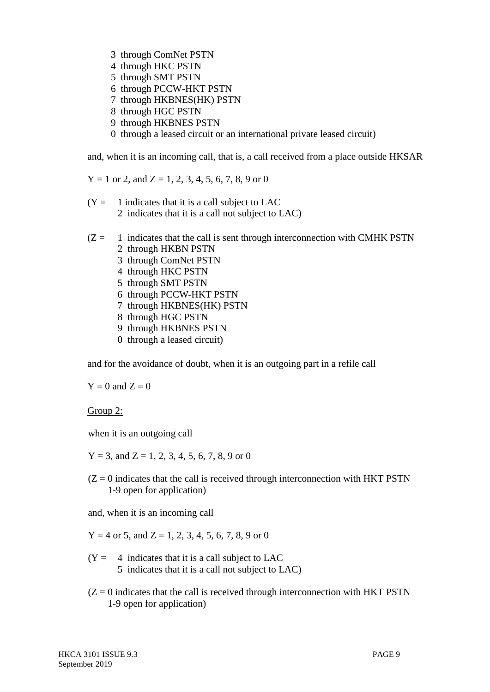- 3 through ComNet PSTN
- 4 through HKC PSTN
- 5 through SMT PSTN
- 6 through PCCW-HKT PSTN
- 7 through HKBNES(HK) PSTN
- 8 through HGC PSTN
- 9 through HKBNES PSTN
- 0 through a leased circuit or an international private leased circuit)

and, when it is an incoming call, that is, a call received from a place outside HKSAR

 $Y = 1$  or 2, and  $Z = 1, 2, 3, 4, 5, 6, 7, 8, 9$  or 0

- $(Y = 1)$  indicates that it is a call subject to LAC 2 indicates that it is a call not subject to LAC)
- $(Z = 1$  indicates that the call is sent through interconnection with CMHK PSTN
	- 2 through HKBN PSTN
	- 3 through ComNet PSTN
	- 4 through HKC PSTN
	- 5 through SMT PSTN
	- 6 through PCCW-HKT PSTN
	- 7 through HKBNES(HK) PSTN
	- 8 through HGC PSTN
	- 9 through HKBNES PSTN
	- 0 through a leased circuit)

and for the avoidance of doubt, when it is an outgoing part in a refile call

 $Y = 0$  and  $Z = 0$ 

Group 2:

when it is an outgoing call

 $Y = 3$ , and  $Z = 1, 2, 3, 4, 5, 6, 7, 8, 9$  or 0

 $(Z = 0$  indicates that the call is received through interconnection with HKT PSTN 1-9 open for application)

and, when it is an incoming call

 $Y = 4$  or 5, and  $Z = 1, 2, 3, 4, 5, 6, 7, 8, 9$  or 0

- $(Y = 4$  indicates that it is a call subject to LAC 5 indicates that it is a call not subject to LAC)
- $(Z = 0$  indicates that the call is received through interconnection with HKT PSTN 1-9 open for application)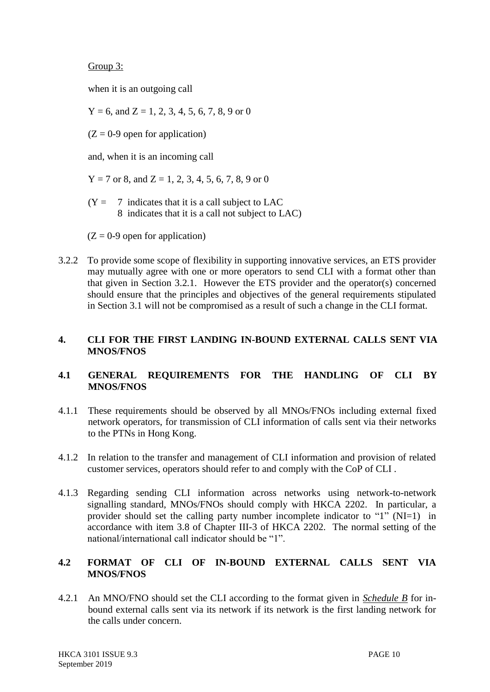Group 3:

when it is an outgoing call

 $Y = 6$ , and  $Z = 1, 2, 3, 4, 5, 6, 7, 8, 9$  or 0

 $(Z = 0.9$  open for application)

and, when it is an incoming call

 $Y = 7$  or 8, and  $Z = 1, 2, 3, 4, 5, 6, 7, 8, 9$  or 0

 $(Y = 7$  indicates that it is a call subject to LAC 8 indicates that it is a call not subject to LAC)

 $(Z = 0.9$  open for application)

3.2.2 To provide some scope of flexibility in supporting innovative services, an ETS provider may mutually agree with one or more operators to send CLI with a format other than that given in Section 3.2.1. However the ETS provider and the operator(s) concerned should ensure that the principles and objectives of the general requirements stipulated in Section 3.1 will not be compromised as a result of such a change in the CLI format.

# **4. CLI FOR THE FIRST LANDING IN-BOUND EXTERNAL CALLS SENT VIA MNOS/FNOS**

# **4.1 GENERAL REQUIREMENTS FOR THE HANDLING OF CLI BY MNOS/FNOS**

- 4.1.1 These requirements should be observed by all MNOs/FNOs including external fixed network operators, for transmission of CLI information of calls sent via their networks to the PTNs in Hong Kong.
- 4.1.2 In relation to the transfer and management of CLI information and provision of related customer services, operators should refer to and comply with the CoP of CLI .
- 4.1.3 Regarding sending CLI information across networks using network-to-network signalling standard, MNOs/FNOs should comply with HKCA 2202. In particular, a provider should set the calling party number incomplete indicator to "1" (NI=1) in accordance with item 3.8 of Chapter III-3 of HKCA 2202. The normal setting of the national/international call indicator should be "1".

# **4.2 FORMAT OF CLI OF IN-BOUND EXTERNAL CALLS SENT VIA MNOS/FNOS**

4.2.1 An MNO/FNO should set the CLI according to the format given in *Schedule B* for inbound external calls sent via its network if its network is the first landing network for the calls under concern.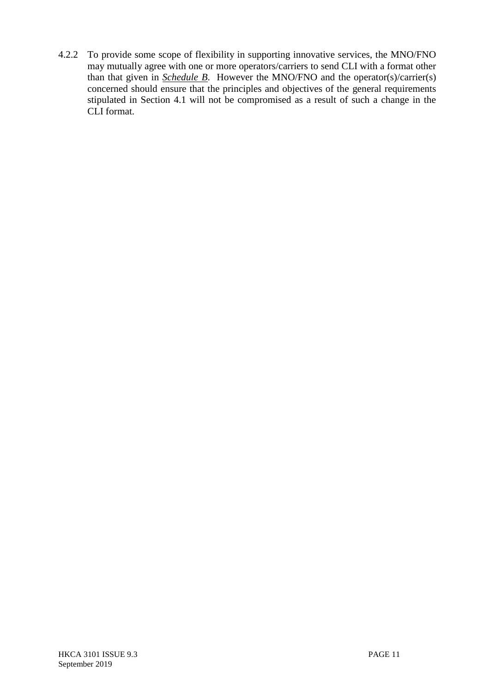4.2.2 To provide some scope of flexibility in supporting innovative services, the MNO/FNO may mutually agree with one or more operators/carriers to send CLI with a format other than that given in *Schedule B*. However the MNO/FNO and the operator(s)/carrier(s) concerned should ensure that the principles and objectives of the general requirements stipulated in Section 4.1 will not be compromised as a result of such a change in the CLI format.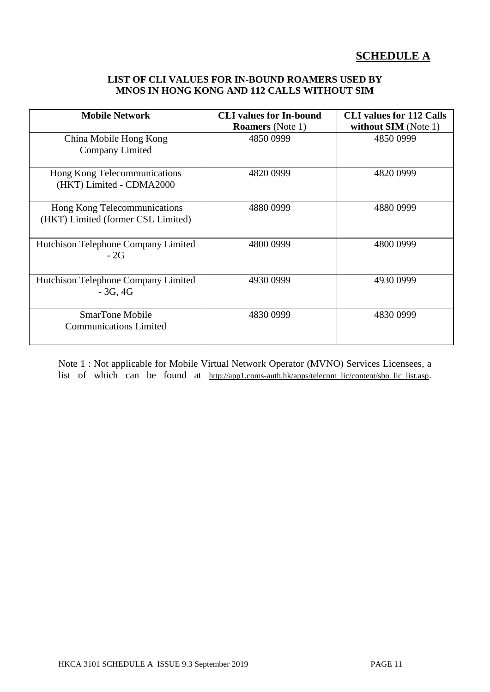# **SCHEDULE A**

## **LIST OF CLI VALUES FOR IN-BOUND ROAMERS USED BY MNOS IN HONG KONG AND 112 CALLS WITHOUT SIM**

| <b>Mobile Network</b>                                              | <b>CLI</b> values for In-bound<br><b>Roamers</b> (Note 1) | <b>CLI</b> values for 112 Calls<br>without SIM (Note 1) |
|--------------------------------------------------------------------|-----------------------------------------------------------|---------------------------------------------------------|
| China Mobile Hong Kong<br>Company Limited                          | 4850 0999                                                 | 4850 0999                                               |
| Hong Kong Telecommunications<br>(HKT) Limited - CDMA2000           | 4820 0999                                                 | 4820 0999                                               |
| Hong Kong Telecommunications<br>(HKT) Limited (former CSL Limited) | 4880 0999                                                 | 4880 0999                                               |
| Hutchison Telephone Company Limited<br>$-2G$                       | 4800 0999                                                 | 4800 0999                                               |
| Hutchison Telephone Company Limited<br>$-3G, 4G$                   | 4930 0999                                                 | 4930 0999                                               |
| <b>SmarTone Mobile</b><br><b>Communications Limited</b>            | 4830 0999                                                 | 4830 0999                                               |

Note 1 : Not applicable for Mobile Virtual Network Operator (MVNO) Services Licensees, a list of which can be found at http://app1.coms-auth.hk/apps/telecom\_lic/content/sbo\_lic\_list.asp.